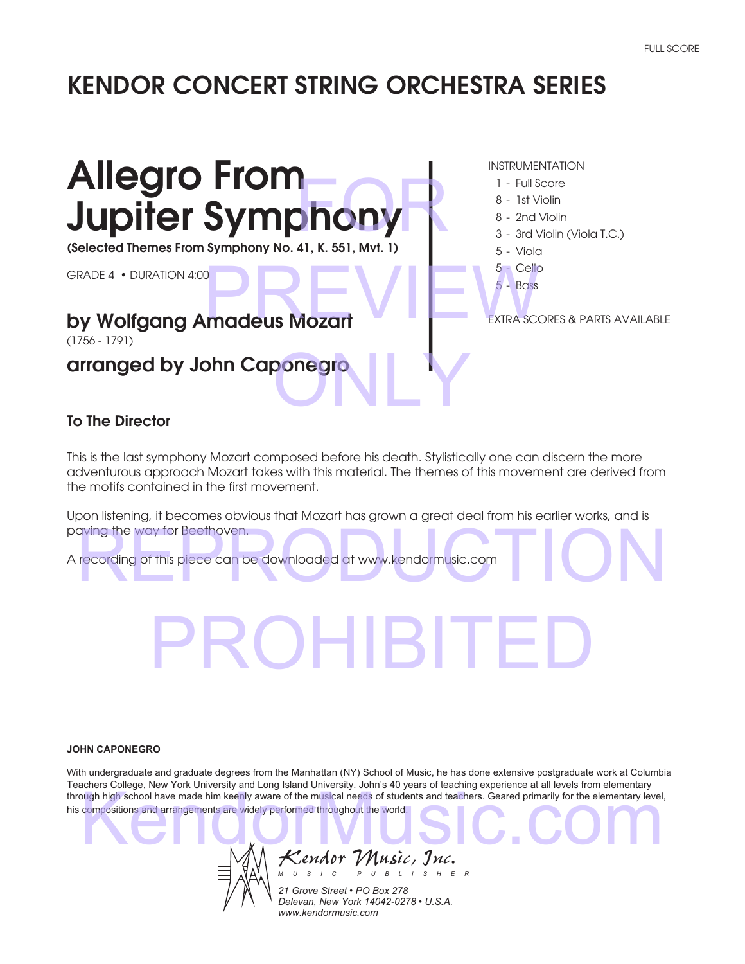## KENDOR CONCERT STRING ORCHESTRA SERIES



## To The Director

This is the last symphony Mozart composed before his death. Stylistically one can discern the more adventurous approach Mozart takes with this material. The themes of this movement are derived from the motifs contained in the first movement.

Upon listening, it becomes obvious that Mozart has grown a great deal from his earlier works, and is paving the way for Beethoven. aving the way for Beethoven.<br>recording of this piece can be downloaded at www.kendormusic.com

PROHIBITE

A recording of this piece can be downloaded at www.kendormusic.com

## **JOHN CAPONEGRO**

With undergraduate and graduate degrees from the Manhattan (NY) School of Music, he has done extensive postgraduate work at Columbia Teachers College, New York University and Long Island University. John's 40 years of teaching experience at all levels from elementary through high school have made him keenly aware of the musical needs of students and teachers. Geared primarily for the elementary level,<br>his compositions and arrangements are widely performed throughout the world.<br>And  $\kappa$ his compositions and arrangements are widely performed throughout the world.

*Kendor Music, Inc. M U S I C P U B L I S H E R*

*Delevan, New York 14042-0278 • U.S.A.*

*21 Grove Street • PO Box 278*

*www.kendormusic.com*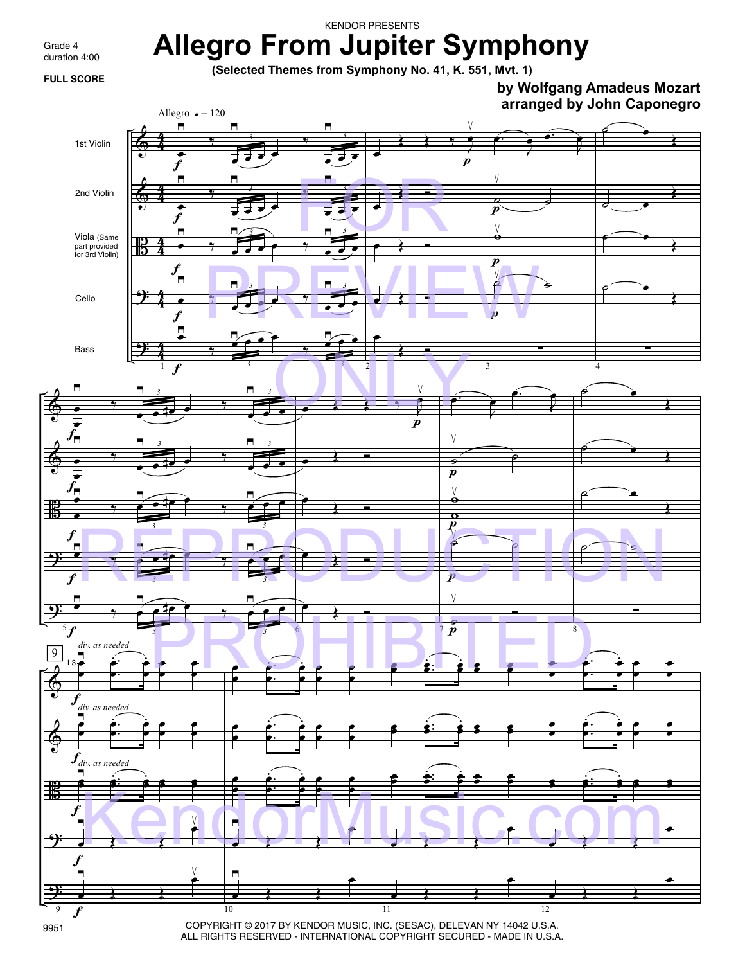## Grade 4 duration 4:00

**(Selected Themes from Symphony No. 41, K. 551, Mvt. 1)**

**FULL SCORE** 



9951

COPYRIGHT © 2017 BY KENDOR MUSIC, INC. (SESAC), DELEVAN NY 14042 U.S.A. ALL RIGHTS RESERVED - INTERNATIONAL COPYRIGHT SECURED - MADE IN U.S.A.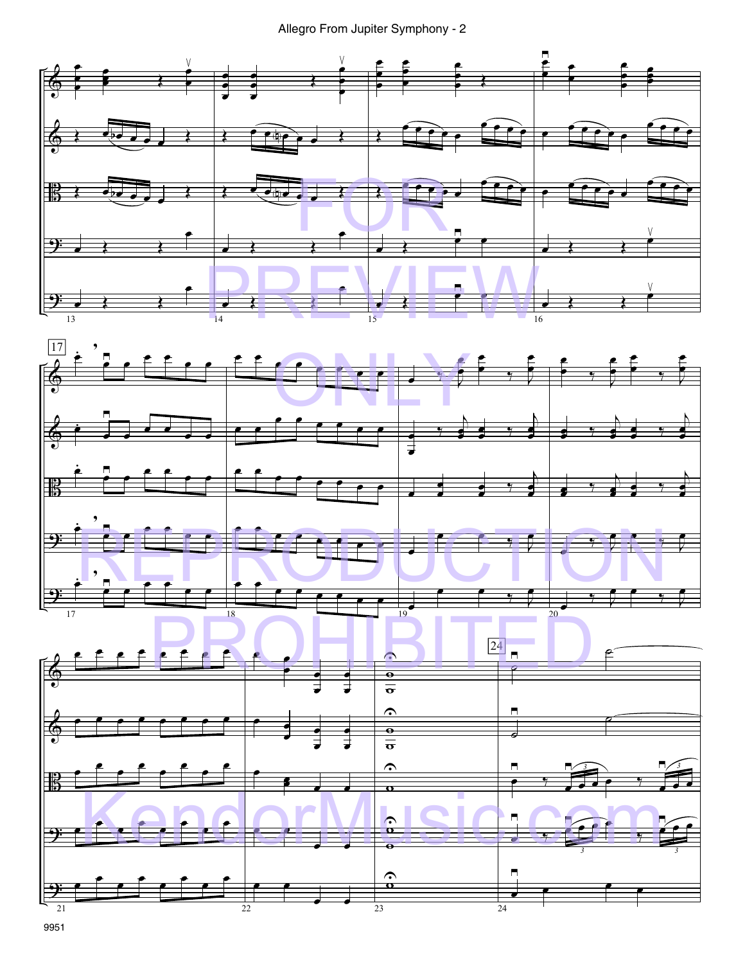Allegro From Jupiter Symphony - 2





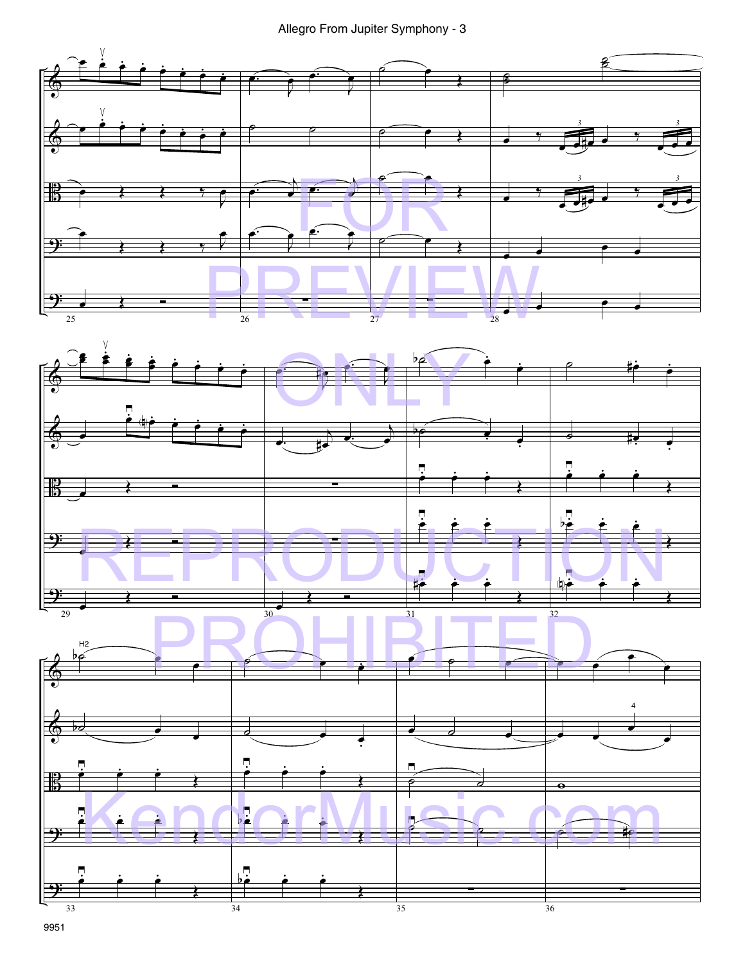Allegro From Jupiter Symphony - 3

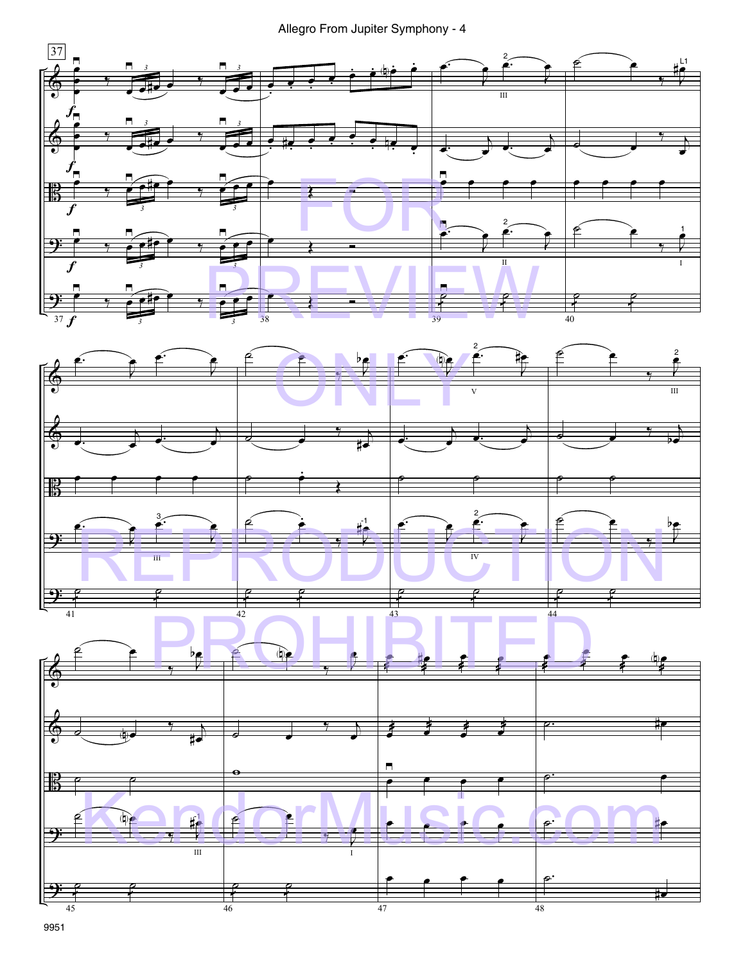Allegro From Jupiter Symphony - 4

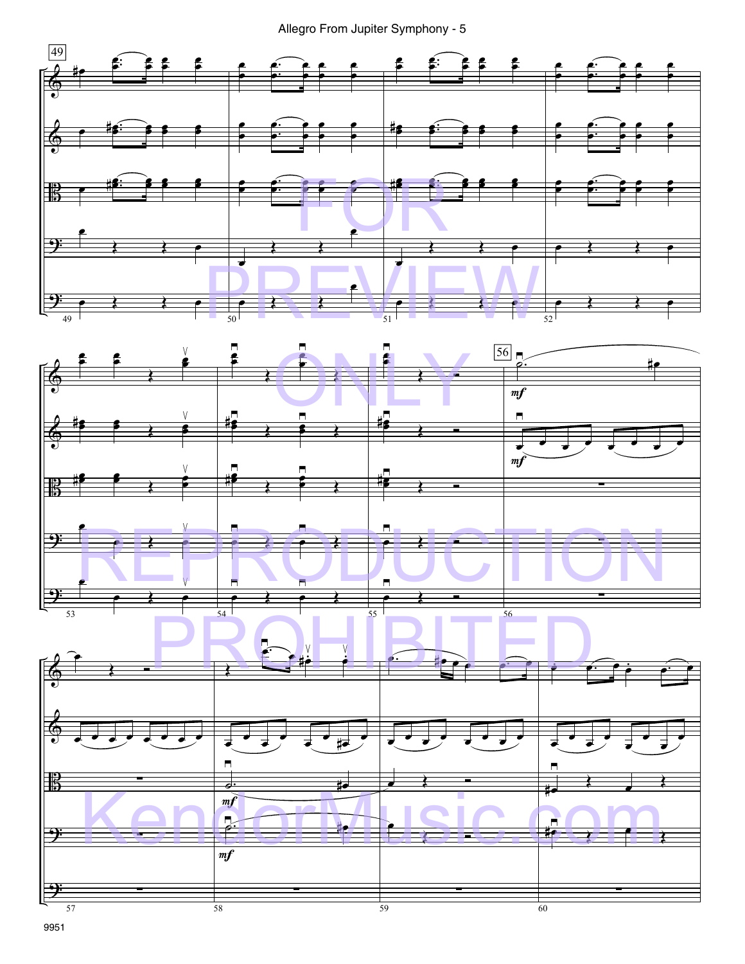Allegro From Jupiter Symphony - 5





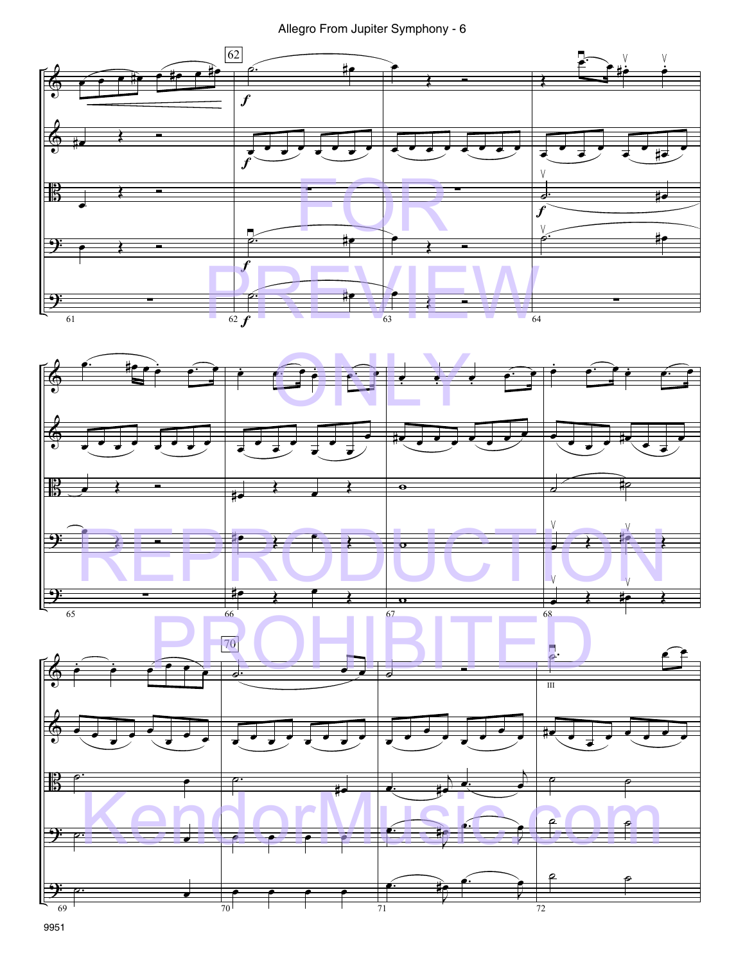Allegro From Jupiter Symphony - 6





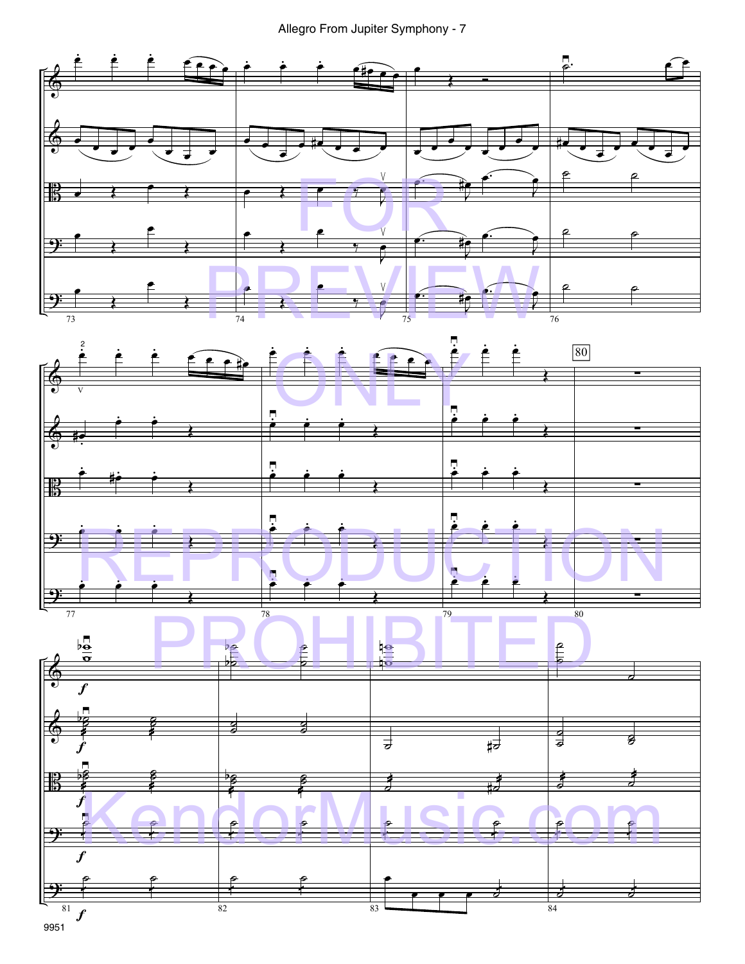Allegro From Jupiter Symphony - 7

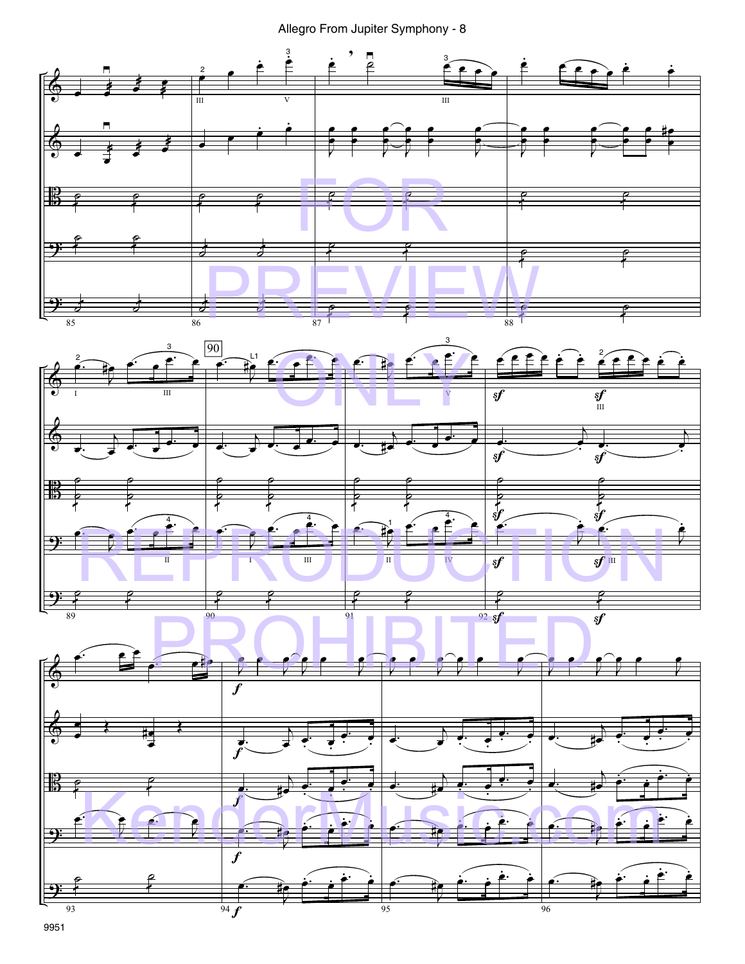Allegro From Jupiter Symphony - 8

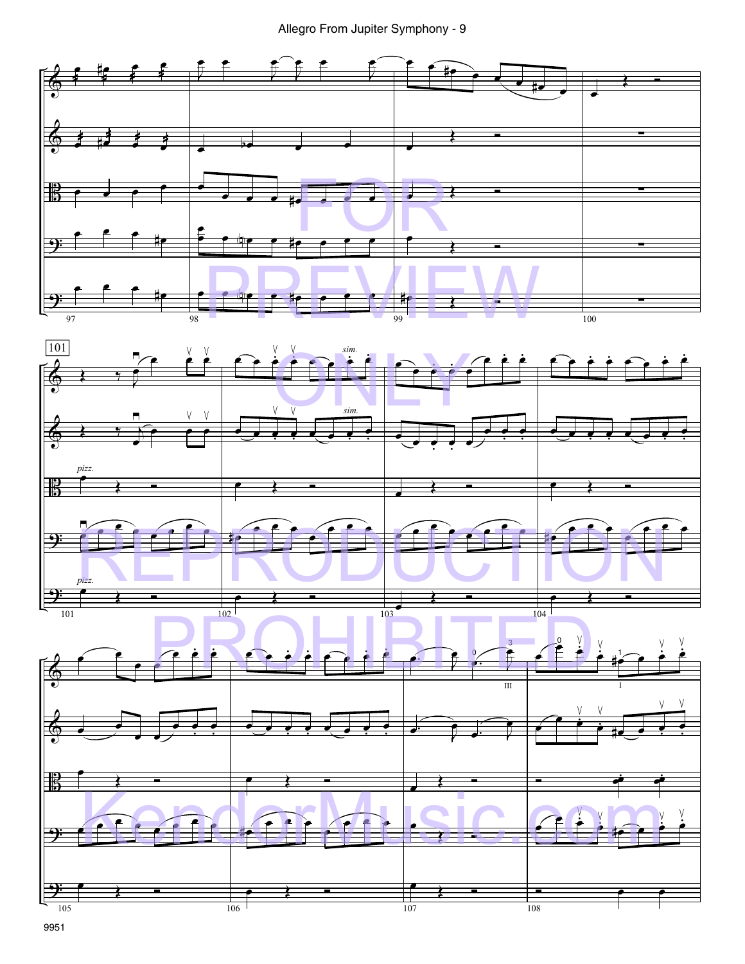Allegro From Jupiter Symphony - 9